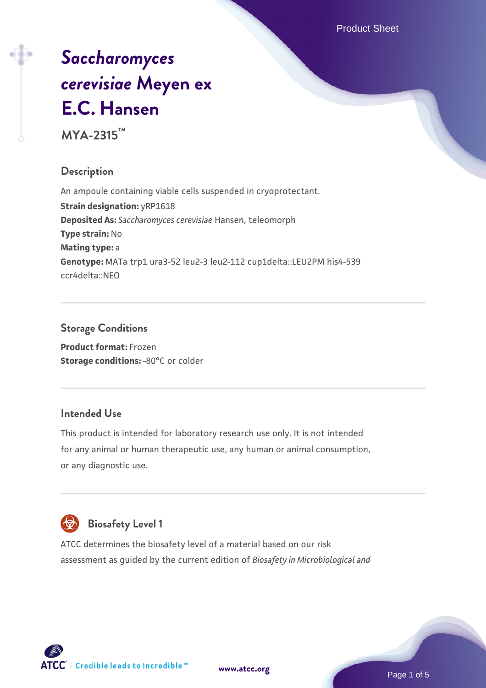Product Sheet

# *[Saccharomyces](https://www.atcc.org/products/mya-2315) [cerevisiae](https://www.atcc.org/products/mya-2315)* **[Meyen ex](https://www.atcc.org/products/mya-2315) [E.C. Hansen](https://www.atcc.org/products/mya-2315)**

**MYA-2315™**

# **Description**

An ampoule containing viable cells suspended in cryoprotectant. **Strain designation:** yRP1618 **Deposited As:** *Saccharomyces cerevisiae* Hansen, teleomorph **Type strain:** No **Mating type:** a **Genotype:** MATa trp1 ura3-52 leu2-3 leu2-112 cup1delta::LEU2PM his4-539 ccr4delta::NEO

# **Storage Conditions**

**Product format:** Frozen **Storage conditions: -80°C or colder** 

#### **Intended Use**

This product is intended for laboratory research use only. It is not intended for any animal or human therapeutic use, any human or animal consumption, or any diagnostic use.



# **Biosafety Level 1**

ATCC determines the biosafety level of a material based on our risk assessment as guided by the current edition of *Biosafety in Microbiological and*

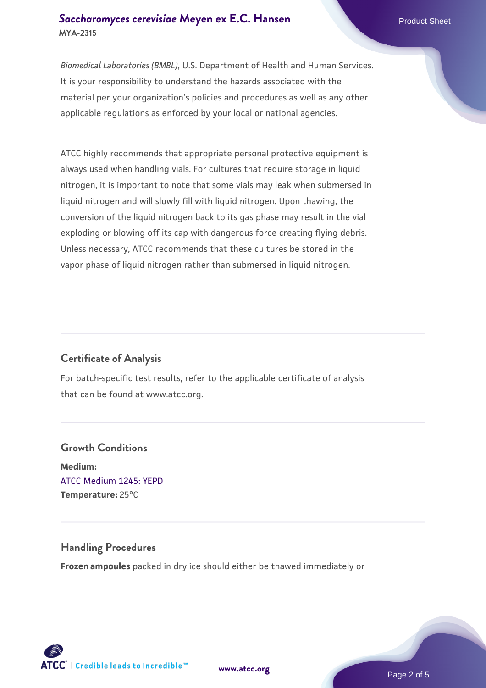#### **[Saccharomyces cerevisiae](https://www.atcc.org/products/mya-2315)** [Meyen ex E.C. Hansen](https://www.atcc.org/products/mya-2315) **MYA-2315**

*Biomedical Laboratories (BMBL)*, U.S. Department of Health and Human Services. It is your responsibility to understand the hazards associated with the material per your organization's policies and procedures as well as any other applicable regulations as enforced by your local or national agencies.

ATCC highly recommends that appropriate personal protective equipment is always used when handling vials. For cultures that require storage in liquid nitrogen, it is important to note that some vials may leak when submersed in liquid nitrogen and will slowly fill with liquid nitrogen. Upon thawing, the conversion of the liquid nitrogen back to its gas phase may result in the vial exploding or blowing off its cap with dangerous force creating flying debris. Unless necessary, ATCC recommends that these cultures be stored in the vapor phase of liquid nitrogen rather than submersed in liquid nitrogen.

# **Certificate of Analysis**

For batch-specific test results, refer to the applicable certificate of analysis that can be found at www.atcc.org.

# **Growth Conditions Medium:**  [ATCC Medium 1245: YEPD](https://www.atcc.org/-/media/product-assets/documents/microbial-media-formulations/1/2/4/5/atcc-medium-1245.pdf?rev=705ca55d1b6f490a808a965d5c072196) **Temperature:** 25°C

# **Handling Procedures**

**Frozen ampoules** packed in dry ice should either be thawed immediately or

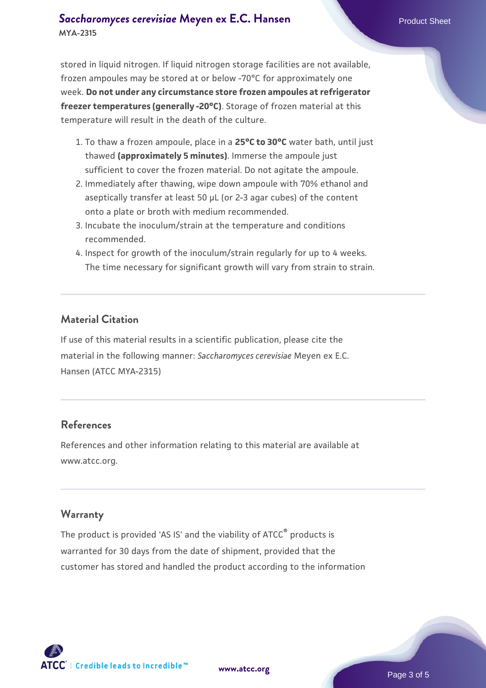#### **[Saccharomyces cerevisiae](https://www.atcc.org/products/mya-2315)** [Meyen ex E.C. Hansen](https://www.atcc.org/products/mya-2315) **MYA-2315**

stored in liquid nitrogen. If liquid nitrogen storage facilities are not available, frozen ampoules may be stored at or below -70°C for approximately one week. **Do not under any circumstance store frozen ampoules at refrigerator freezer temperatures (generally -20°C)**. Storage of frozen material at this temperature will result in the death of the culture.

- 1. To thaw a frozen ampoule, place in a **25°C to 30°C** water bath, until just thawed **(approximately 5 minutes)**. Immerse the ampoule just sufficient to cover the frozen material. Do not agitate the ampoule.
- 2. Immediately after thawing, wipe down ampoule with 70% ethanol and aseptically transfer at least 50 µL (or 2-3 agar cubes) of the content onto a plate or broth with medium recommended.
- 3. Incubate the inoculum/strain at the temperature and conditions recommended.
- 4. Inspect for growth of the inoculum/strain regularly for up to 4 weeks. The time necessary for significant growth will vary from strain to strain.

#### **Material Citation**

If use of this material results in a scientific publication, please cite the material in the following manner: *Saccharomyces cerevisiae* Meyen ex E.C. Hansen (ATCC MYA-2315)

#### **References**

References and other information relating to this material are available at www.atcc.org.

#### **Warranty**

The product is provided 'AS IS' and the viability of ATCC® products is warranted for 30 days from the date of shipment, provided that the customer has stored and handled the product according to the information

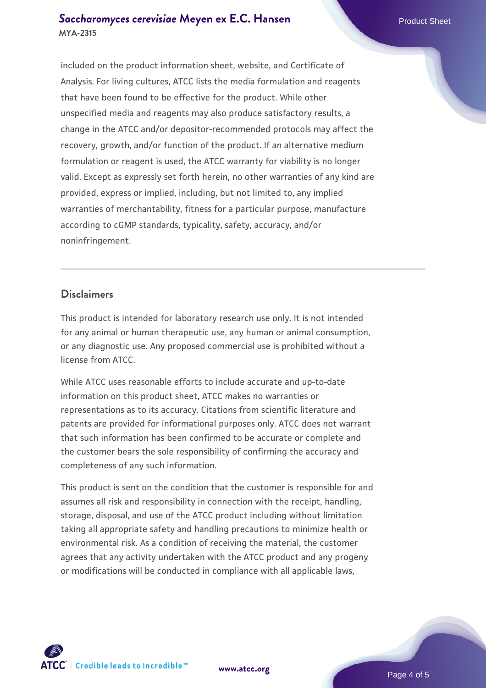#### **[Saccharomyces cerevisiae](https://www.atcc.org/products/mya-2315)** [Meyen ex E.C. Hansen](https://www.atcc.org/products/mya-2315) **MYA-2315**

included on the product information sheet, website, and Certificate of Analysis. For living cultures, ATCC lists the media formulation and reagents that have been found to be effective for the product. While other unspecified media and reagents may also produce satisfactory results, a change in the ATCC and/or depositor-recommended protocols may affect the recovery, growth, and/or function of the product. If an alternative medium formulation or reagent is used, the ATCC warranty for viability is no longer valid. Except as expressly set forth herein, no other warranties of any kind are provided, express or implied, including, but not limited to, any implied warranties of merchantability, fitness for a particular purpose, manufacture according to cGMP standards, typicality, safety, accuracy, and/or noninfringement.

#### **Disclaimers**

This product is intended for laboratory research use only. It is not intended for any animal or human therapeutic use, any human or animal consumption, or any diagnostic use. Any proposed commercial use is prohibited without a license from ATCC.

While ATCC uses reasonable efforts to include accurate and up-to-date information on this product sheet, ATCC makes no warranties or representations as to its accuracy. Citations from scientific literature and patents are provided for informational purposes only. ATCC does not warrant that such information has been confirmed to be accurate or complete and the customer bears the sole responsibility of confirming the accuracy and completeness of any such information.

This product is sent on the condition that the customer is responsible for and assumes all risk and responsibility in connection with the receipt, handling, storage, disposal, and use of the ATCC product including without limitation taking all appropriate safety and handling precautions to minimize health or environmental risk. As a condition of receiving the material, the customer agrees that any activity undertaken with the ATCC product and any progeny or modifications will be conducted in compliance with all applicable laws,



**[www.atcc.org](http://www.atcc.org)**

Page 4 of 5